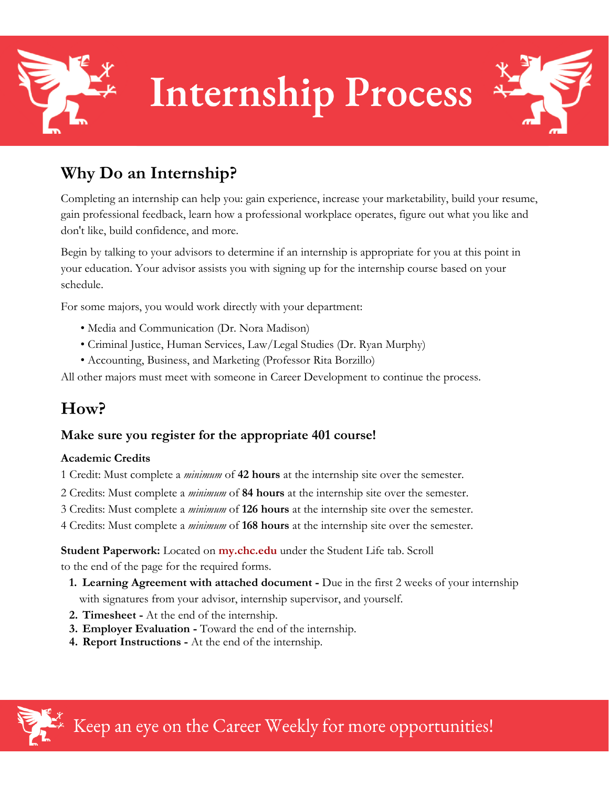

## **Why Do an Internship?**

Completing an internship can help you: gain experience, increase your marketability, build your resume, gain professional feedback, learn how a professional workplace operates, figure out what you like and don't like, build confidence, and more.

Begin by talking to your advisors to determine if an internship is appropriate for you at this point in your education. Your advisor assists you with signing up for the internship course based on your schedule.

For some majors, you would work directly with your department:

- Media and Communication (Dr. Nora Madison)
- Criminal Justice, Human Services, Law/Legal Studies (Dr. Ryan Murphy)
- Accounting, Business, and Marketing (Professor Rita Borzillo)

All other majors must meet with someone in Career Development to continue the process.

# **How?**

### **Make sure you register for the appropriate 401 course!**

#### **Academic Credits**

1 Credit: Must complete a *minimum* of **42 hours** at the internship site over the semester.

- 2 Credits: Must complete a *minimum* of **84 hours** at the internship site over the semester.
- 3 Credits: Must complete a *minimum* of **126 hours** at the internship site over the semester.
- 4 Credits: Must complete a *minimum* of **168 hours** at the internship site over the semester.

**Student Paperwork:** Located on **my.chc.edu** under the Student Life tab. Scroll to the end of the page for the required forms.

- **1. Learning Agreement with attached document -** Due in the first 2 weeks of your internship with signatures from your advisor, internship supervisor, and yourself.
- **2. Timesheet -** At the end of the internship.
- **3. Employer Evaluation -** Toward the end of the internship.
- **4. Report Instructions -** At the end of the internship.